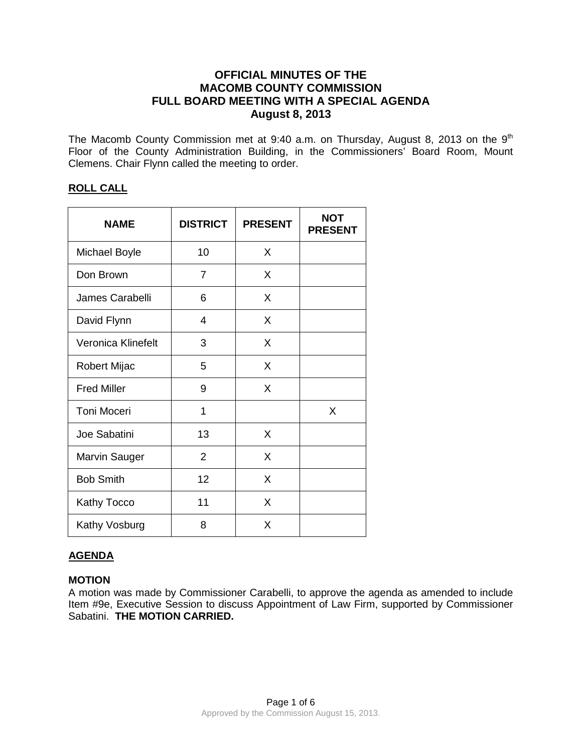# **OFFICIAL MINUTES OF THE MACOMB COUNTY COMMISSION FULL BOARD MEETING WITH A SPECIAL AGENDA August 8, 2013**

The Macomb County Commission met at 9:40 a.m. on Thursday, August 8, 2013 on the  $9<sup>th</sup>$ Floor of the County Administration Building, in the Commissioners' Board Room, Mount Clemens. Chair Flynn called the meeting to order.

## **ROLL CALL**

| <b>NAME</b>        | <b>DISTRICT</b> | <b>PRESENT</b> | <b>NOT</b><br><b>PRESENT</b> |
|--------------------|-----------------|----------------|------------------------------|
| Michael Boyle      | 10              | X              |                              |
| Don Brown          | 7               | X              |                              |
| James Carabelli    | 6               | X              |                              |
| David Flynn        | 4               | X              |                              |
| Veronica Klinefelt | 3               | X              |                              |
| Robert Mijac       | 5               | X              |                              |
| <b>Fred Miller</b> | 9               | X              |                              |
| <b>Toni Moceri</b> | 1               |                | X                            |
| Joe Sabatini       | 13              | X              |                              |
| Marvin Sauger      | 2               | X              |                              |
| <b>Bob Smith</b>   | 12              | X              |                              |
| Kathy Tocco        | 11              | X              |                              |
| Kathy Vosburg      | 8               | Χ              |                              |

# **AGENDA**

## **MOTION**

A motion was made by Commissioner Carabelli, to approve the agenda as amended to include Item #9e, Executive Session to discuss Appointment of Law Firm, supported by Commissioner Sabatini. **THE MOTION CARRIED.**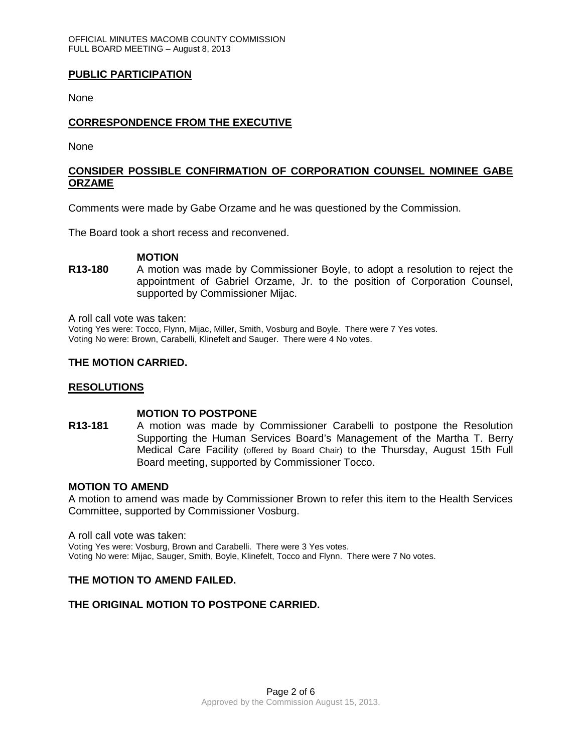## **PUBLIC PARTICIPATION**

None

## **CORRESPONDENCE FROM THE EXECUTIVE**

None

## **CONSIDER POSSIBLE CONFIRMATION OF CORPORATION COUNSEL NOMINEE GABE ORZAME**

Comments were made by Gabe Orzame and he was questioned by the Commission.

The Board took a short recess and reconvened.

#### **MOTION**

**R13-180** A motion was made by Commissioner Boyle, to adopt a resolution to reject the appointment of Gabriel Orzame, Jr. to the position of Corporation Counsel, supported by Commissioner Mijac.

A roll call vote was taken:

Voting Yes were: Tocco, Flynn, Mijac, Miller, Smith, Vosburg and Boyle. There were 7 Yes votes. Voting No were: Brown, Carabelli, Klinefelt and Sauger. There were 4 No votes.

### **THE MOTION CARRIED.**

### **RESOLUTIONS**

#### **MOTION TO POSTPONE**

**R13-181** A motion was made by Commissioner Carabelli to postpone the Resolution Supporting the Human Services Board's Management of the Martha T. Berry Medical Care Facility (offered by Board Chair) to the Thursday, August 15th Full Board meeting, supported by Commissioner Tocco.

#### **MOTION TO AMEND**

A motion to amend was made by Commissioner Brown to refer this item to the Health Services Committee, supported by Commissioner Vosburg.

A roll call vote was taken:

Voting Yes were: Vosburg, Brown and Carabelli. There were 3 Yes votes. Voting No were: Mijac, Sauger, Smith, Boyle, Klinefelt, Tocco and Flynn. There were 7 No votes.

### **THE MOTION TO AMEND FAILED.**

### **THE ORIGINAL MOTION TO POSTPONE CARRIED.**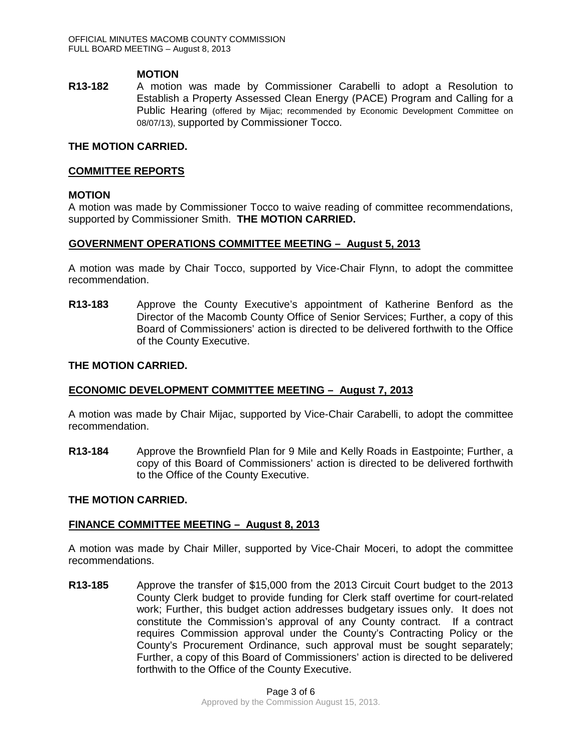#### **MOTION**

**R13-182** A motion was made by Commissioner Carabelli to adopt a Resolution to Establish a Property Assessed Clean Energy (PACE) Program and Calling for a Public Hearing (offered by Mijac; recommended by Economic Development Committee on 08/07/13), supported by Commissioner Tocco.

## **THE MOTION CARRIED.**

#### **COMMITTEE REPORTS**

#### **MOTION**

A motion was made by Commissioner Tocco to waive reading of committee recommendations, supported by Commissioner Smith. **THE MOTION CARRIED.**

#### **GOVERNMENT OPERATIONS COMMITTEE MEETING – August 5, 2013**

A motion was made by Chair Tocco, supported by Vice-Chair Flynn, to adopt the committee recommendation.

**R13-183** Approve the County Executive's appointment of Katherine Benford as the Director of the Macomb County Office of Senior Services; Further, a copy of this Board of Commissioners' action is directed to be delivered forthwith to the Office of the County Executive.

#### **THE MOTION CARRIED.**

### **ECONOMIC DEVELOPMENT COMMITTEE MEETING – August 7, 2013**

A motion was made by Chair Mijac, supported by Vice-Chair Carabelli, to adopt the committee recommendation.

**R13-184** Approve the Brownfield Plan for 9 Mile and Kelly Roads in Eastpointe; Further, a copy of this Board of Commissioners' action is directed to be delivered forthwith to the Office of the County Executive.

#### **THE MOTION CARRIED.**

## **FINANCE COMMITTEE MEETING – August 8, 2013**

A motion was made by Chair Miller, supported by Vice-Chair Moceri, to adopt the committee recommendations.

**R13-185** Approve the transfer of \$15,000 from the 2013 Circuit Court budget to the 2013 County Clerk budget to provide funding for Clerk staff overtime for court-related work; Further, this budget action addresses budgetary issues only. It does not constitute the Commission's approval of any County contract. If a contract requires Commission approval under the County's Contracting Policy or the County's Procurement Ordinance, such approval must be sought separately; Further, a copy of this Board of Commissioners' action is directed to be delivered forthwith to the Office of the County Executive.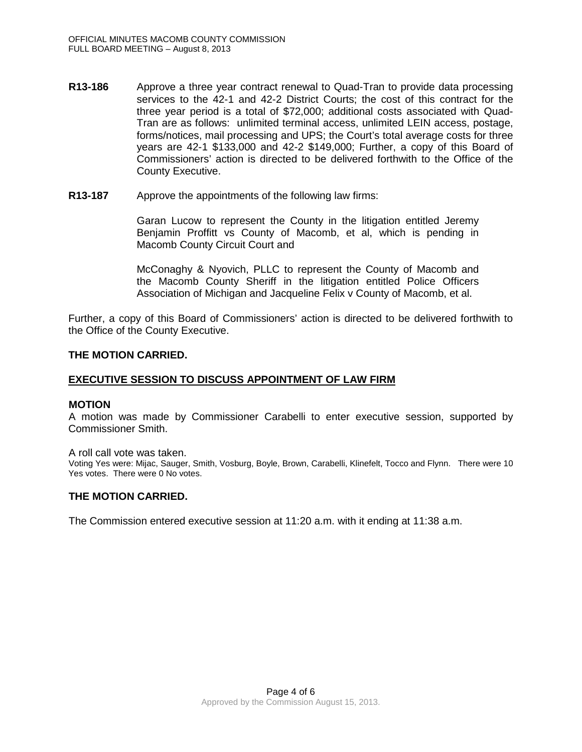- **R13-186** Approve a three year contract renewal to Quad-Tran to provide data processing services to the 42-1 and 42-2 District Courts; the cost of this contract for the three year period is a total of \$72,000; additional costs associated with Quad-Tran are as follows: unlimited terminal access, unlimited LEIN access, postage, forms/notices, mail processing and UPS; the Court's total average costs for three years are 42-1 \$133,000 and 42-2 \$149,000; Further, a copy of this Board of Commissioners' action is directed to be delivered forthwith to the Office of the County Executive.
- **R13-187** Approve the appointments of the following law firms:

Garan Lucow to represent the County in the litigation entitled Jeremy Benjamin Proffitt vs County of Macomb, et al, which is pending in Macomb County Circuit Court and

McConaghy & Nyovich, PLLC to represent the County of Macomb and the Macomb County Sheriff in the litigation entitled Police Officers Association of Michigan and Jacqueline Felix v County of Macomb, et al.

Further, a copy of this Board of Commissioners' action is directed to be delivered forthwith to the Office of the County Executive.

### **THE MOTION CARRIED.**

### **EXECUTIVE SESSION TO DISCUSS APPOINTMENT OF LAW FIRM**

#### **MOTION**

A motion was made by Commissioner Carabelli to enter executive session, supported by Commissioner Smith.

A roll call vote was taken.

Voting Yes were: Mijac, Sauger, Smith, Vosburg, Boyle, Brown, Carabelli, Klinefelt, Tocco and Flynn. There were 10 Yes votes. There were 0 No votes.

## **THE MOTION CARRIED.**

The Commission entered executive session at 11:20 a.m. with it ending at 11:38 a.m.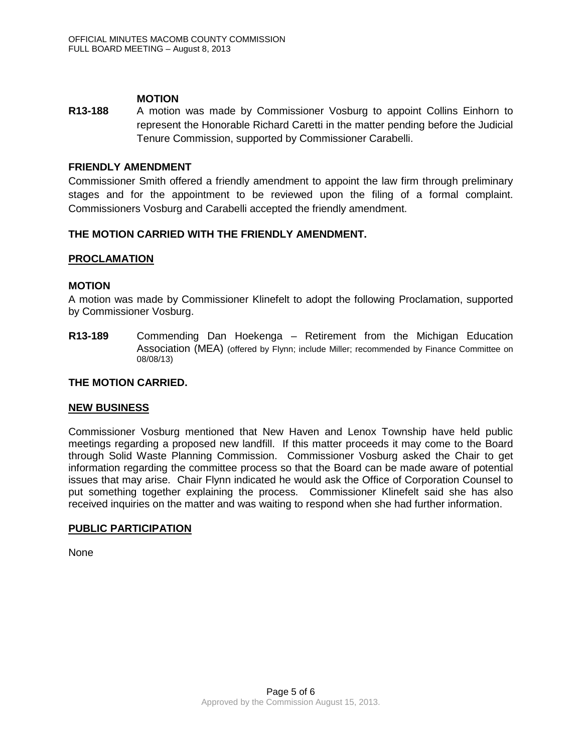## **MOTION**

**R13-188** A motion was made by Commissioner Vosburg to appoint Collins Einhorn to represent the Honorable Richard Caretti in the matter pending before the Judicial Tenure Commission, supported by Commissioner Carabelli.

## **FRIENDLY AMENDMENT**

Commissioner Smith offered a friendly amendment to appoint the law firm through preliminary stages and for the appointment to be reviewed upon the filing of a formal complaint. Commissioners Vosburg and Carabelli accepted the friendly amendment.

## **THE MOTION CARRIED WITH THE FRIENDLY AMENDMENT.**

### **PROCLAMATION**

## **MOTION**

A motion was made by Commissioner Klinefelt to adopt the following Proclamation, supported by Commissioner Vosburg.

**R13-189** Commending Dan Hoekenga – Retirement from the Michigan Education Association (MEA) (offered by Flynn; include Miller; recommended by Finance Committee on 08/08/13)

### **THE MOTION CARRIED.**

### **NEW BUSINESS**

Commissioner Vosburg mentioned that New Haven and Lenox Township have held public meetings regarding a proposed new landfill. If this matter proceeds it may come to the Board through Solid Waste Planning Commission. Commissioner Vosburg asked the Chair to get information regarding the committee process so that the Board can be made aware of potential issues that may arise. Chair Flynn indicated he would ask the Office of Corporation Counsel to put something together explaining the process. Commissioner Klinefelt said she has also received inquiries on the matter and was waiting to respond when she had further information.

### **PUBLIC PARTICIPATION**

None